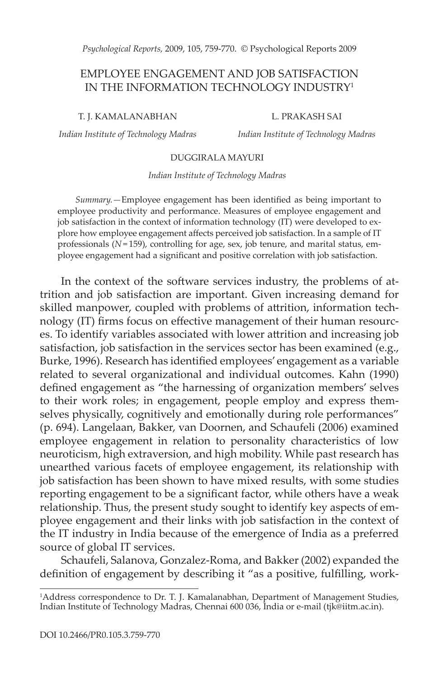*Psychological Reports,* 2009, 105, 759-770. © Psychological Reports 2009

# EMPLOYEE ENGAGEMENT AND JOB SATISFACTION IN THE INFORMATION TECHNOLOGY INDUSTRY<sup>1</sup>

T. J. KAMALANABHAN

*Indian Institute of Technology Madras*

L. PRAKASH SAI

*Indian Institute of Technology Madras*

## DUGGIRALA MAYURI

*Indian Institute of Technology Madras*

*Summary.—*Employee engagement has been identified as being important to employee productivity and performance. Measures of employee engagement and job satisfaction in the context of information technology (IT) were developed to explore how employee engagement affects perceived job satisfaction. In a sample of IT professionals ( $N=159$ ), controlling for age, sex, job tenure, and marital status, employee engagement had a significant and positive correlation with job satisfaction.

In the context of the software services industry, the problems of attrition and job satisfaction are important. Given increasing demand for skilled manpower, coupled with problems of attrition, information technology (IT) firms focus on effective management of their human resources. To identify variables associated with lower attrition and increasing job satisfaction, job satisfaction in the services sector has been examined (e.g., Burke, 1996). Research has identified employees' engagement as a variable related to several organizational and individual outcomes. Kahn (1990) defined engagement as "the harnessing of organization members' selves to their work roles; in engagement, people employ and express themselves physically, cognitively and emotionally during role performances" (p. 694). Langelaan, Bakker, van Doornen, and Schaufeli (2006) examined employee engagement in relation to personality characteristics of low neuroticism, high extraversion, and high mobility. While past research has unearthed various facets of employee engagement, its relationship with job satisfaction has been shown to have mixed results, with some studies reporting engagement to be a significant factor, while others have a weak relationship. Thus, the present study sought to identify key aspects of employee engagement and their links with job satisfaction in the context of the IT industry in India because of the emergence of India as a preferred source of global IT services.

Schaufeli, Salanova, Gonzalez-Roma, and Bakker (2002) expanded the definition of engagement by describing it "as a positive, fulfilling, work-

<sup>&</sup>lt;sup>1</sup>Address correspondence to Dr. T. J. Kamalanabhan, Department of Management Studies, Indian Institute of Technology Madras, Chennai 600 036, India or e-mail (tjk@iitm.ac.in).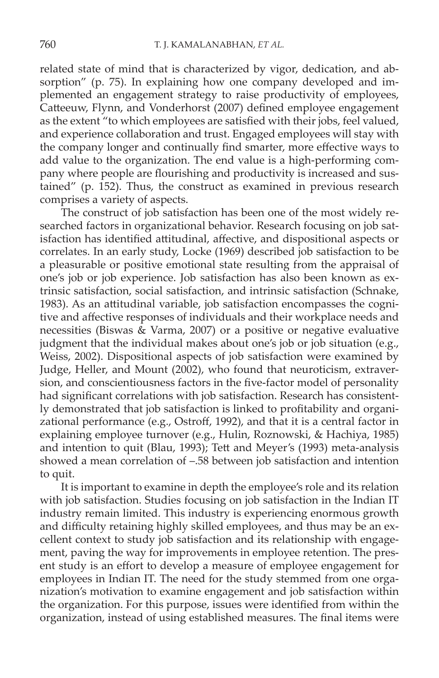related state of mind that is characterized by vigor, dedication, and absorption" (p. 75). In explaining how one company developed and implemented an engagement strategy to raise productivity of employees, Catteeuw, Flynn, and Vonderhorst (2007) defined employee engagement as the extent "to which employees are satisfied with their jobs, feel valued, and experience collaboration and trust. Engaged employees will stay with the company longer and continually find smarter, more effective ways to add value to the organization. The end value is a high-performing company where people are flourishing and productivity is increased and sustained" (p. 152). Thus, the construct as examined in previous research comprises a variety of aspects.

The construct of job satisfaction has been one of the most widely researched factors in organizational behavior. Research focusing on job satisfaction has identified attitudinal, affective, and dispositional aspects or correlates. In an early study, Locke (1969) described job satisfaction to be a pleasurable or positive emotional state resulting from the appraisal of one's job or job experience. Job satisfaction has also been known as extrinsic satisfaction, social satisfaction, and intrinsic satisfaction (Schnake, 1983). As an attitudinal variable, job satisfaction encompasses the cognitive and affective responses of individuals and their workplace needs and necessities (Biswas & Varma, 2007) or a positive or negative evaluative judgment that the individual makes about one's job or job situation (e.g., Weiss, 2002). Dispositional aspects of job satisfaction were examined by Judge, Heller, and Mount (2002), who found that neuroticism, extraversion, and conscientiousness factors in the five-factor model of personality had significant correlations with job satisfaction. Research has consistently demonstrated that job satisfaction is linked to profitability and organizational performance (e.g., Ostroff, 1992), and that it is a central factor in explaining employee turnover (e.g., Hulin, Roznowski, & Hachiya, 1985) and intention to quit (Blau, 1993); Tett and Meyer's (1993) meta-analysis showed a mean correlation of –.58 between job satisfaction and intention to quit.

It is important to examine in depth the employee's role and its relation with job satisfaction. Studies focusing on job satisfaction in the Indian IT industry remain limited. This industry is experiencing enormous growth and difficulty retaining highly skilled employees, and thus may be an excellent context to study job satisfaction and its relationship with engagement, paving the way for improvements in employee retention. The present study is an effort to develop a measure of employee engagement for employees in Indian IT. The need for the study stemmed from one organization's motivation to examine engagement and job satisfaction within the organization. For this purpose, issues were identified from within the organization, instead of using established measures. The final items were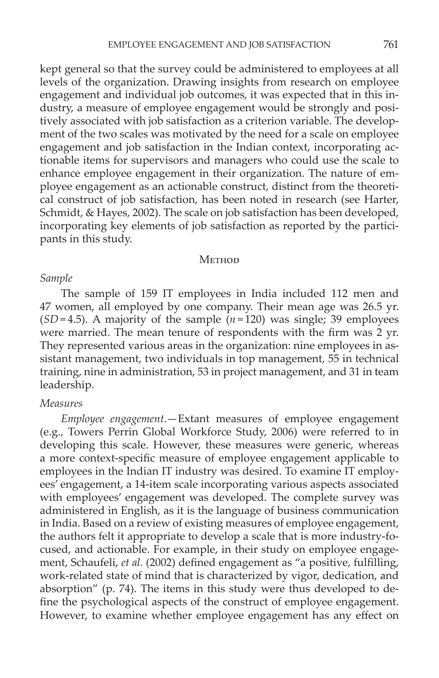kept general so that the survey could be administered to employees at all levels of the organization. Drawing insights from research on employee engagement and individual job outcomes, it was expected that in this industry, a measure of employee engagement would be strongly and positively associated with job satisfaction as a criterion variable. The development of the two scales was motivated by the need for a scale on employee engagement and job satisfaction in the Indian context, incorporating actionable items for supervisors and managers who could use the scale to enhance employee engagement in their organization. The nature of employee engagement as an actionable construct, distinct from the theoretical construct of job satisfaction, has been noted in research (see Harter, Schmidt, & Hayes, 2002). The scale on job satisfaction has been developed, incorporating key elements of job satisfaction as reported by the participants in this study.

#### **METHOD**

#### *Sample*

The sample of 159 IT employees in India included 112 men and 47 women, all employed by one company. Their mean age was 26.5 yr. (*SD*=4.5). A majority of the sample  $(n=120)$  was single; 39 employees were married. The mean tenure of respondents with the firm was 2 yr. They represented various areas in the organization: nine employees in assistant management, two individuals in top management, 55 in technical training, nine in administration, 53 in project management, and 31 in team leadership.

## *Measures*

*Employee engagement*.—Extant measures of employee engagement (e.g., Towers Perrin Global Workforce Study, 2006) were referred to in developing this scale. However, these measures were generic, whereas a more context-specific measure of employee engagement applicable to employees in the Indian IT industry was desired. To examine IT employees' engagement, a 14-item scale incorporating various aspects associated with employees' engagement was developed. The complete survey was administered in English, as it is the language of business communication in India. Based on a review of existing measures of employee engagement, the authors felt it appropriate to develop a scale that is more industry-focused, and actionable. For example, in their study on employee engagement, Schaufeli, *et al.* (2002) defined engagement as "a positive, fulfilling, work-related state of mind that is characterized by vigor, dedication, and absorption" (p. 74). The items in this study were thus developed to define the psychological aspects of the construct of employee engagement. However, to examine whether employee engagement has any effect on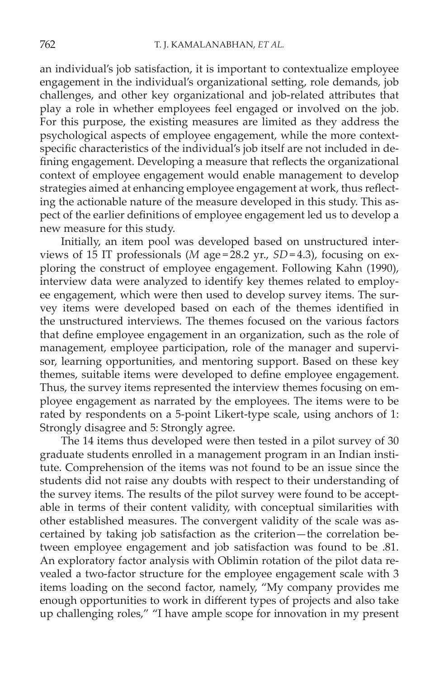an individual's job satisfaction, it is important to contextualize employee engagement in the individual's organizational setting, role demands, job challenges, and other key organizational and job-related attributes that play a role in whether employees feel engaged or involved on the job. For this purpose, the existing measures are limited as they address the psychological aspects of employee engagement, while the more contextspecific characteristics of the individual's job itself are not included in defining engagement. Developing a measure that reflects the organizational context of employee engagement would enable management to develop strategies aimed at enhancing employee engagement at work, thus reflecting the actionable nature of the measure developed in this study. This aspect of the earlier definitions of employee engagement led us to develop a new measure for this study.

Initially, an item pool was developed based on unstructured interviews of 15 IT professionals (*M* age =  $28.2$  yr., *SD* = 4.3), focusing on exploring the construct of employee engagement. Following Kahn (1990), interview data were analyzed to identify key themes related to employee engagement, which were then used to develop survey items. The survey items were developed based on each of the themes identified in the unstructured interviews. The themes focused on the various factors that define employee engagement in an organization, such as the role of management, employee participation, role of the manager and supervisor, learning opportunities, and mentoring support. Based on these key themes, suitable items were developed to define employee engagement. Thus, the survey items represented the interview themes focusing on employee engagement as narrated by the employees. The items were to be rated by respondents on a 5-point Likert-type scale, using anchors of 1: Strongly disagree and 5: Strongly agree.

The 14 items thus developed were then tested in a pilot survey of 30 graduate students enrolled in a management program in an Indian institute. Comprehension of the items was not found to be an issue since the students did not raise any doubts with respect to their understanding of the survey items. The results of the pilot survey were found to be acceptable in terms of their content validity, with conceptual similarities with other established measures. The convergent validity of the scale was ascertained by taking job satisfaction as the criterion—the correlation between employee engagement and job satisfaction was found to be .81. An exploratory factor analysis with Oblimin rotation of the pilot data revealed a two-factor structure for the employee engagement scale with 3 items loading on the second factor, namely, "My company provides me enough opportunities to work in different types of projects and also take up challenging roles," "I have ample scope for innovation in my present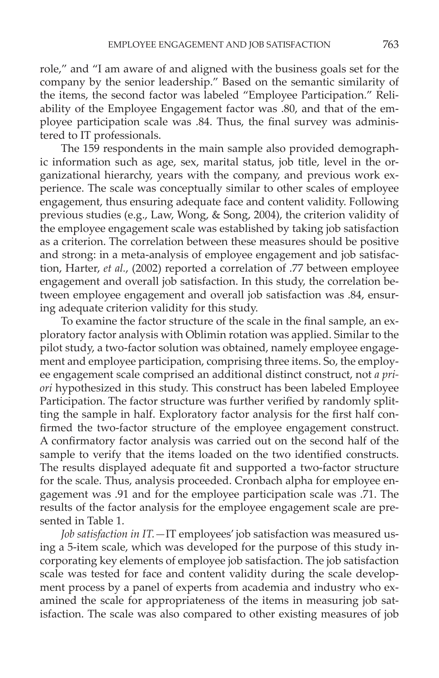role," and "I am aware of and aligned with the business goals set for the company by the senior leadership." Based on the semantic similarity of the items, the second factor was labeled "Employee Participation." Reliability of the Employee Engagement factor was .80, and that of the employee participation scale was .84. Thus, the final survey was administered to IT professionals.

The 159 respondents in the main sample also provided demographic information such as age, sex, marital status, job title, level in the organizational hierarchy, years with the company, and previous work experience. The scale was conceptually similar to other scales of employee engagement, thus ensuring adequate face and content validity. Following previous studies (e.g., Law, Wong, & Song, 2004), the criterion validity of the employee engagement scale was established by taking job satisfaction as a criterion. The correlation between these measures should be positive and strong: in a meta-analysis of employee engagement and job satisfaction, Harter, *et al.*, (2002) reported a correlation of .77 between employee engagement and overall job satisfaction. In this study, the correlation between employee engagement and overall job satisfaction was .84, ensuring adequate criterion validity for this study.

To examine the factor structure of the scale in the final sample, an exploratory factor analysis with Oblimin rotation was applied. Similar to the pilot study, a two-factor solution was obtained, namely employee engagement and employee participation, comprising three items. So, the employee engagement scale comprised an additional distinct construct, not *a priori* hypothesized in this study. This construct has been labeled Employee Participation. The factor structure was further verified by randomly splitting the sample in half. Exploratory factor analysis for the first half confirmed the two-factor structure of the employee engagement construct. A confirmatory factor analysis was carried out on the second half of the sample to verify that the items loaded on the two identified constructs. The results displayed adequate fit and supported a two-factor structure for the scale. Thus, analysis proceeded. Cronbach alpha for employee engagement was .91 and for the employee participation scale was .71. The results of the factor analysis for the employee engagement scale are presented in Table 1.

*Job satisfaction in IT.—*IT employees' job satisfaction was measured using a 5-item scale, which was developed for the purpose of this study incorporating key elements of employee job satisfaction. The job satisfaction scale was tested for face and content validity during the scale development process by a panel of experts from academia and industry who examined the scale for appropriateness of the items in measuring job satisfaction. The scale was also compared to other existing measures of job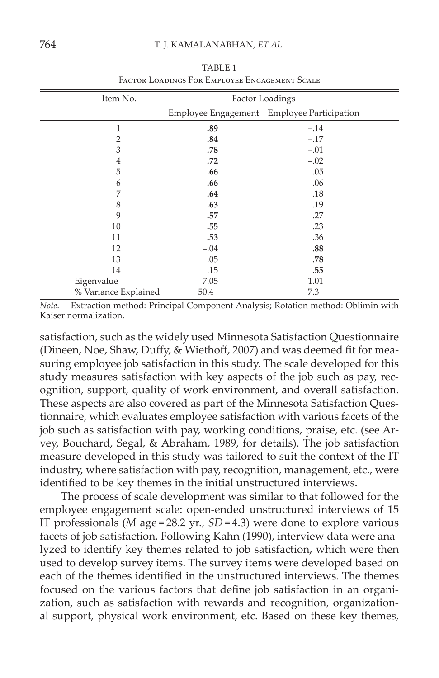| Item No.             | Factor Loadings |                                            |  |  |
|----------------------|-----------------|--------------------------------------------|--|--|
|                      |                 | Employee Engagement Employee Participation |  |  |
| $\mathbf{1}$         | .89             | $-.14$                                     |  |  |
| $\overline{2}$       | .84             | $-.17$                                     |  |  |
| 3                    | .78             | $-.01$                                     |  |  |
| $\overline{4}$       | .72             | $-.02$                                     |  |  |
| 5                    | .66             | .05                                        |  |  |
| 6                    | .66             | .06                                        |  |  |
| 7                    | .64             | .18                                        |  |  |
| 8                    | .63             | .19                                        |  |  |
| 9                    | .57             | .27                                        |  |  |
| 10                   | .55             | .23                                        |  |  |
| 11                   | .53             | .36                                        |  |  |
| 12                   | $-.04$          | .88                                        |  |  |
| 13                   | .05             | .78                                        |  |  |
| 14                   | .15             | .55                                        |  |  |
| Eigenvalue           | 7.05            | 1.01                                       |  |  |
| % Variance Explained | 50.4            | 7.3                                        |  |  |

TABLE 1 Factor Loadings For Employee Engagement Scale

*Note*.— Extraction method: Principal Component Analysis; Rotation method: Oblimin with Kaiser normalization.

satisfaction, such as the widely used Minnesota Satisfaction Questionnaire (Dineen, Noe, Shaw, Duffy, & Wiethoff, 2007) and was deemed fit for measuring employee job satisfaction in this study. The scale developed for this study measures satisfaction with key aspects of the job such as pay, recognition, support, quality of work environment, and overall satisfaction. These aspects are also covered as part of the Minnesota Satisfaction Questionnaire, which evaluates employee satisfaction with various facets of the job such as satisfaction with pay, working conditions, praise, etc. (see Arvey, Bouchard, Segal, & Abraham, 1989, for details). The job satisfaction measure developed in this study was tailored to suit the context of the IT industry, where satisfaction with pay, recognition, management, etc., were identified to be key themes in the initial unstructured interviews.

The process of scale development was similar to that followed for the employee engagement scale: open-ended unstructured interviews of 15 IT professionals (*M* age = 28.2 yr.,  $SD = 4.3$ ) were done to explore various facets of job satisfaction. Following Kahn (1990), interview data were analyzed to identify key themes related to job satisfaction, which were then used to develop survey items. The survey items were developed based on each of the themes identified in the unstructured interviews. The themes focused on the various factors that define job satisfaction in an organization, such as satisfaction with rewards and recognition, organizational support, physical work environment, etc. Based on these key themes,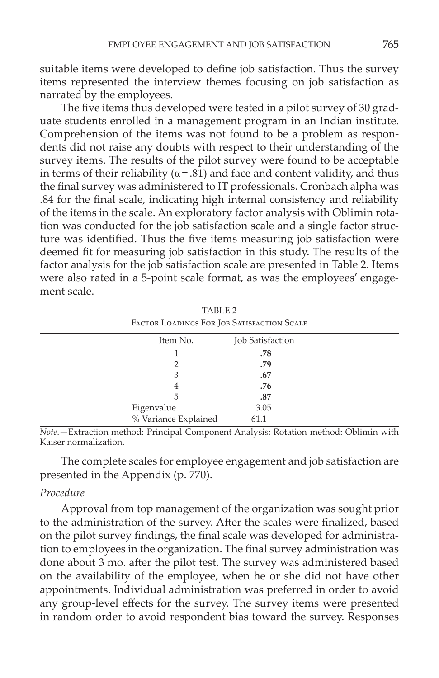suitable items were developed to define job satisfaction. Thus the survey items represented the interview themes focusing on job satisfaction as narrated by the employees.

The five items thus developed were tested in a pilot survey of 30 graduate students enrolled in a management program in an Indian institute. Comprehension of the items was not found to be a problem as respondents did not raise any doubts with respect to their understanding of the survey items. The results of the pilot survey were found to be acceptable in terms of their reliability ( $\alpha = .81$ ) and face and content validity, and thus the final survey was administered to IT professionals. Cronbach alpha was .84 for the final scale, indicating high internal consistency and reliability of the items in the scale. An exploratory factor analysis with Oblimin rotation was conducted for the job satisfaction scale and a single factor structure was identified. Thus the five items measuring job satisfaction were deemed fit for measuring job satisfaction in this study. The results of the factor analysis for the job satisfaction scale are presented in Table 2. Items were also rated in a 5-point scale format, as was the employees' engagement scale.

| Item No.             | Job Satisfaction |  |
|----------------------|------------------|--|
|                      | .78              |  |
|                      | .79              |  |
| З                    | .67              |  |
| 4                    | .76              |  |
| 5                    | .87              |  |
| Eigenvalue           | 3.05             |  |
| % Variance Explained | 61.1             |  |

TABLE 2 Factor Loadings For Job Satisfaction Scale

*Note*.—Extraction method: Principal Component Analysis; Rotation method: Oblimin with Kaiser normalization.

The complete scales for employee engagement and job satisfaction are presented in the Appendix (p. 770).

### *Procedure*

Approval from top management of the organization was sought prior to the administration of the survey. After the scales were finalized, based on the pilot survey findings, the final scale was developed for administration to employees in the organization. The final survey administration was done about 3 mo. after the pilot test. The survey was administered based on the availability of the employee, when he or she did not have other appointments. Individual administration was preferred in order to avoid any group-level effects for the survey. The survey items were presented in random order to avoid respondent bias toward the survey. Responses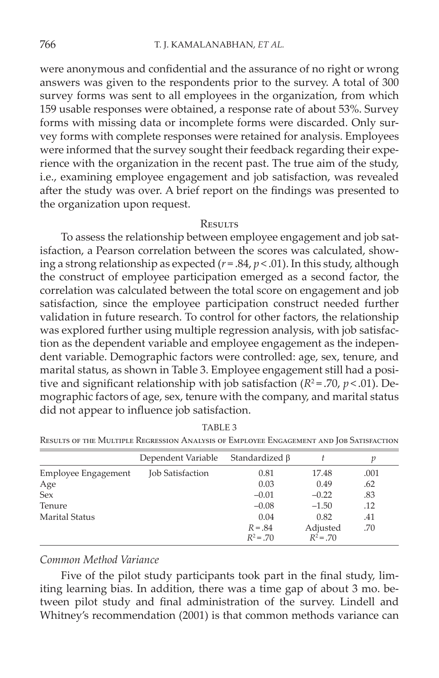were anonymous and confidential and the assurance of no right or wrong answers was given to the respondents prior to the survey. A total of 300 survey forms was sent to all employees in the organization, from which 159 usable responses were obtained, a response rate of about 53%. Survey forms with missing data or incomplete forms were discarded. Only survey forms with complete responses were retained for analysis. Employees were informed that the survey sought their feedback regarding their experience with the organization in the recent past. The true aim of the study, i.e., examining employee engagement and job satisfaction, was revealed after the study was over. A brief report on the findings was presented to the organization upon request.

### **RESULTS**

To assess the relationship between employee engagement and job satisfaction, a Pearson correlation between the scores was calculated, showing a strong relationship as expected  $(r = .84, p < .01)$ . In this study, although the construct of employee participation emerged as a second factor, the correlation was calculated between the total score on engagement and job satisfaction, since the employee participation construct needed further validation in future research. To control for other factors, the relationship was explored further using multiple regression analysis, with job satisfaction as the dependent variable and employee engagement as the independent variable. Demographic factors were controlled: age, sex, tenure, and marital status, as shown in Table 3. Employee engagement still had a positive and significant relationship with job satisfaction  $(R^2 = .70, p < .01)$ . Demographic factors of age, sex, tenure with the company, and marital status did not appear to influence job satisfaction.

|                     | Dependent Variable      | Standardized B           |                         |      |
|---------------------|-------------------------|--------------------------|-------------------------|------|
| Employee Engagement | <b>Job Satisfaction</b> | 0.81                     | 17.48                   | .001 |
| Age                 |                         | 0.03                     | 0.49                    | .62  |
| Sex                 |                         | $-0.01$                  | $-0.22$                 | .83  |
| Tenure              |                         | $-0.08$                  | $-1.50$                 | .12  |
| Marital Status      |                         | 0.04                     | 0.82                    | .41  |
|                     |                         | $R = .84$<br>$R^2 = .70$ | Adjusted<br>$R^2 = .70$ | .70  |

TABLE 3

Results of the Multiple Regression Analysis of Employee Engagement and Job Satisfaction

#### *Common Method Variance*

Five of the pilot study participants took part in the final study, limiting learning bias. In addition, there was a time gap of about 3 mo. between pilot study and final administration of the survey. Lindell and Whitney's recommendation (2001) is that common methods variance can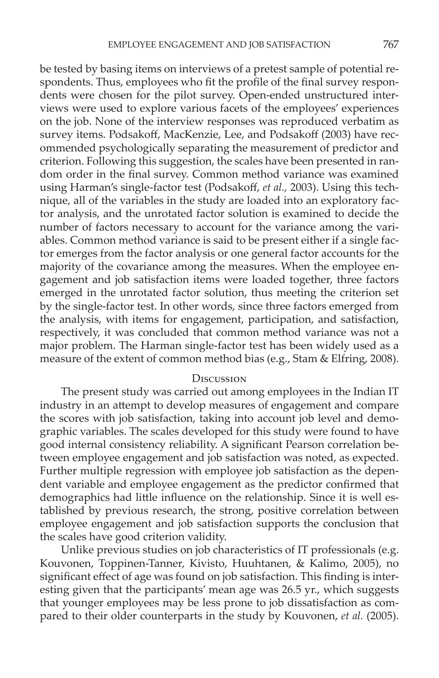be tested by basing items on interviews of a pretest sample of potential respondents. Thus, employees who fit the profile of the final survey respondents were chosen for the pilot survey. Open-ended unstructured interviews were used to explore various facets of the employees' experiences on the job. None of the interview responses was reproduced verbatim as survey items. Podsakoff, MacKenzie, Lee, and Podsakoff (2003) have recommended psychologically separating the measurement of predictor and criterion. Following this suggestion, the scales have been presented in random order in the final survey. Common method variance was examined using Harman's single-factor test (Podsakoff, *et al.,* 2003). Using this technique, all of the variables in the study are loaded into an exploratory factor analysis, and the unrotated factor solution is examined to decide the number of factors necessary to account for the variance among the variables. Common method variance is said to be present either if a single factor emerges from the factor analysis or one general factor accounts for the majority of the covariance among the measures. When the employee engagement and job satisfaction items were loaded together, three factors emerged in the unrotated factor solution, thus meeting the criterion set by the single-factor test. In other words, since three factors emerged from the analysis, with items for engagement, participation, and satisfaction, respectively, it was concluded that common method variance was not a major problem. The Harman single-factor test has been widely used as a measure of the extent of common method bias (e.g., Stam & Elfring, 2008).

## **D**ISCUSSION

The present study was carried out among employees in the Indian IT industry in an attempt to develop measures of engagement and compare the scores with job satisfaction, taking into account job level and demographic variables. The scales developed for this study were found to have good internal consistency reliability. A significant Pearson correlation between employee engagement and job satisfaction was noted, as expected. Further multiple regression with employee job satisfaction as the dependent variable and employee engagement as the predictor confirmed that demographics had little influence on the relationship. Since it is well established by previous research, the strong, positive correlation between employee engagement and job satisfaction supports the conclusion that the scales have good criterion validity.

Unlike previous studies on job characteristics of IT professionals (e.g. Kouvonen, Toppinen-Tanner, Kivisto, Huuhtanen, & Kalimo, 2005), no significant effect of age was found on job satisfaction. This finding is interesting given that the participants' mean age was 26.5 yr., which suggests that younger employees may be less prone to job dissatisfaction as compared to their older counterparts in the study by Kouvonen, *et al.* (2005).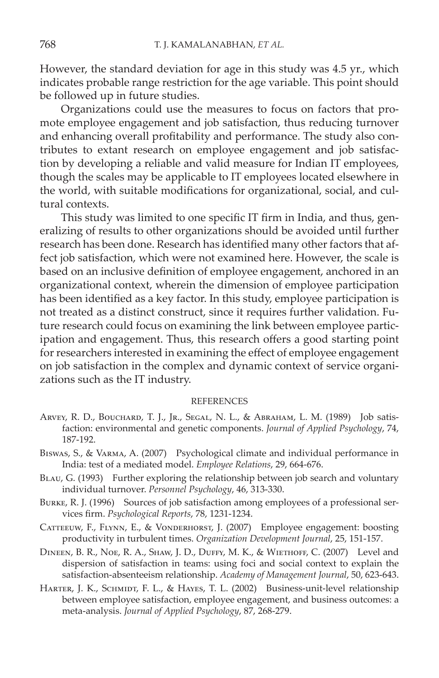However, the standard deviation for age in this study was 4.5 yr., which indicates probable range restriction for the age variable. This point should be followed up in future studies.

Organizations could use the measures to focus on factors that promote employee engagement and job satisfaction, thus reducing turnover and enhancing overall profitability and performance. The study also contributes to extant research on employee engagement and job satisfaction by developing a reliable and valid measure for Indian IT employees, though the scales may be applicable to IT employees located elsewhere in the world, with suitable modifications for organizational, social, and cultural contexts.

This study was limited to one specific IT firm in India, and thus, generalizing of results to other organizations should be avoided until further research has been done. Research has identified many other factors that affect job satisfaction, which were not examined here. However, the scale is based on an inclusive definition of employee engagement, anchored in an organizational context, wherein the dimension of employee participation has been identified as a key factor. In this study, employee participation is not treated as a distinct construct, since it requires further validation. Future research could focus on examining the link between employee participation and engagement. Thus, this research offers a good starting point for researchers interested in examining the effect of employee engagement on job satisfaction in the complex and dynamic context of service organizations such as the IT industry.

#### REFERENCES

- Arvey, R. D., Bouchard, T. J., Jr., Segal, N. L., & Abraham, L. M. (1989) Job satisfaction: environmental and genetic components. *Journal of Applied Psychology*, 74, 187-192.
- Biswas, S., & Varma, A. (2007) Psychological climate and individual performance in India: test of a mediated model. *Employee Relations*, 29, 664-676.
- Blau, G. (1993) Further exploring the relationship between job search and voluntary individual turnover. *Personnel Psychology*, 46, 313-330.
- Burke, R. J. (1996) Sources of job satisfaction among employees of a professional services firm. *Psychological Reports*, 78, 1231-1234.
- CATTEEUW, F., FLYNN, E., & VONDERHORST, J. (2007) Employee engagement: boosting productivity in turbulent times. *Organization Development Journal*, 25, 151-157.
- Dineen, B. R., Noe, R. A., Shaw, J. D., Duffy, M. K., & Wiethoff, C. (2007) Level and dispersion of satisfaction in teams: using foci and social context to explain the satisfaction-absenteeism relationship. *Academy of Management Journal*, 50, 623-643.
- HARTER, J. K., SCHMIDT, F. L., & HAYES, T. L. (2002) Business-unit-level relationship between employee satisfaction, employee engagement, and business outcomes: a meta-analysis. *Journal of Applied Psychology*, 87, 268-279.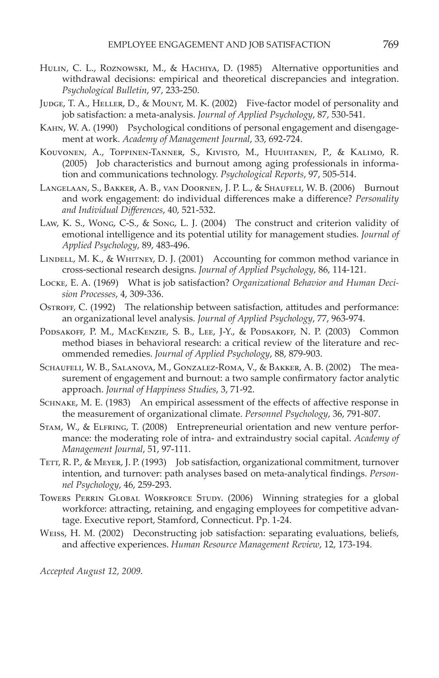- HULIN, C. L., ROZNOWSKI, M., & HACHIYA, D. (1985) Alternative opportunities and withdrawal decisions: empirical and theoretical discrepancies and integration. *Psychological Bulletin*, 97, 233-250.
- JUDGE, T. A., HELLER, D., & MOUNT, M. K. (2002) Five-factor model of personality and job satisfaction: a meta-analysis. *Journal of Applied Psychology*, 87, 530-541.
- Kahn, W. A. (1990) Psychological conditions of personal engagement and disengagement at work. *Academy of Management Journal*, 33, 692-724.
- Kouvonen, A., Toppinen-Tanner, S., Kivisto, M., Huuhtanen, P., & Kalimo, R. (2005) Job characteristics and burnout among aging professionals in information and communications technology. *Psychological Reports*, 97, 505-514.
- Langelaan, S., Bakker, A. B., van Doornen, J. P. L., & Shaufeli, W. B. (2006) Burnout and work engagement: do individual differences make a difference? *Personality and Individual Differences*, 40, 521-532.
- Law, K. S., Wong, C-S., & Song, L. J. (2004) The construct and criterion validity of emotional intelligence and its potential utility for management studies. *Journal of Applied Psychology*, 89, 483-496.
- Lindell, M. K., & Whitney, D. J. (2001) Accounting for common method variance in cross-sectional research designs. *Journal of Applied Psychology*, 86, 114-121.
- Locke, E. A. (1969) What is job satisfaction? *Organizational Behavior and Human Decision Processes*, 4, 309-336.
- OSTROFF, C. (1992) The relationship between satisfaction, attitudes and performance: an organizational level analysis. *Journal of Applied Psychology*, 77, 963-974.
- PODSAKOFF, P. M., MACKENZIE, S. B., LEE, J-Y., & PODSAKOFF, N. P. (2003) Common method biases in behavioral research: a critical review of the literature and recommended remedies. *Journal of Applied Psychology*, 88, 879-903.
- Schaufeli, W. B., Salanova, M., Gonzalez-Roma, V., & Bakker, A. B. (2002) The measurement of engagement and burnout: a two sample confirmatory factor analytic approach. *Journal of Happiness Studies*, 3, 71-92.
- Schnake, M. E. (1983) An empirical assessment of the effects of affective response in the measurement of organizational climate. *Personnel Psychology*, 36, 791-807.
- Stam, W., & Elfring, T. (2008) Entrepreneurial orientation and new venture performance: the moderating role of intra- and extraindustry social capital. *Academy of Management Journal*, 51, 97-111.
- TETT, R. P., & MEYER, J. P. (1993) Job satisfaction, organizational commitment, turnover intention, and turnover: path analyses based on meta-analytical findings. *Personnel Psychology*, 46, 259-293.
- Towers PERRIN GLOBAL WORKFORCE STUDY. (2006) Winning strategies for a global workforce: attracting, retaining, and engaging employees for competitive advantage. Executive report, Stamford, Connecticut. Pp. 1-24.
- Weiss, H. M. (2002) Deconstructing job satisfaction: separating evaluations, beliefs, and affective experiences. *Human Resource Management Review*, 12, 173-194.

*Accepted August 12, 2009.*